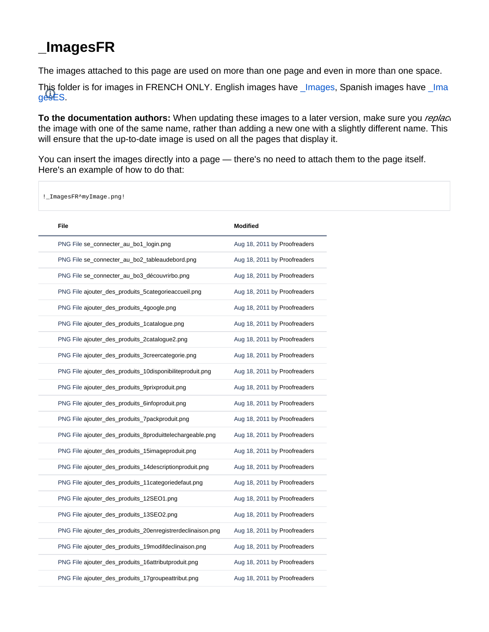## <span id="page-0-0"></span>**\_ImagesFR**

The images attached to this page are used on more than one page and even in more than one space.

This folder is for images in FRENCH ONLY. English images have [\\_Images](https://doc.prestashop.com/display/PS14/_Images), Spanish images have [\\_Ima](https://doc.prestashop.com/display/PS14/_ImagesES)  $g$ esES.

**To the documentation authors:** When updating these images to a later version, make sure you *replac* the image with one of the same name, rather than adding a new one with a slightly different name. This will ensure that the up-to-date image is used on all the pages that display it.

You can insert the images directly into a page — there's no need to attach them to the page itself. Here's an example of how to do that:

!\_ImagesFR^myImage.png!

| <b>File</b>                                                | <b>Modified</b>              |
|------------------------------------------------------------|------------------------------|
| PNG File se_connecter_au_bo1_login.png                     | Aug 18, 2011 by Proofreaders |
| PNG File se_connecter_au_bo2_tableaudebord.png             | Aug 18, 2011 by Proofreaders |
| PNG File se_connecter_au_bo3_découvrirbo.png               | Aug 18, 2011 by Proofreaders |
| PNG File ajouter_des_produits_5categorieaccueil.png        | Aug 18, 2011 by Proofreaders |
| PNG File ajouter_des_produits_4google.png                  | Aug 18, 2011 by Proofreaders |
| PNG File ajouter_des_produits_1catalogue.png               | Aug 18, 2011 by Proofreaders |
| PNG File ajouter_des_produits_2catalogue2.png              | Aug 18, 2011 by Proofreaders |
| PNG File ajouter_des_produits_3creercategorie.png          | Aug 18, 2011 by Proofreaders |
| PNG File ajouter_des_produits_10disponibiliteproduit.png   | Aug 18, 2011 by Proofreaders |
| PNG File ajouter_des_produits_9prixproduit.png             | Aug 18, 2011 by Proofreaders |
| PNG File ajouter_des_produits_6infoproduit.png             | Aug 18, 2011 by Proofreaders |
| PNG File ajouter_des_produits_7packproduit.png             | Aug 18, 2011 by Proofreaders |
| PNG File ajouter_des_produits_8produittelechargeable.png   | Aug 18, 2011 by Proofreaders |
| PNG File ajouter_des_produits_15imageproduit.png           | Aug 18, 2011 by Proofreaders |
| PNG File ajouter_des_produits_14descriptionproduit.png     | Aug 18, 2011 by Proofreaders |
| PNG File ajouter_des_produits_11categoriedefaut.png        | Aug 18, 2011 by Proofreaders |
| PNG File ajouter_des_produits_12SEO1.png                   | Aug 18, 2011 by Proofreaders |
| PNG File ajouter_des_produits_13SEO2.png                   | Aug 18, 2011 by Proofreaders |
| PNG File ajouter_des_produits_20enregistrerdeclinaison.png | Aug 18, 2011 by Proofreaders |
| PNG File ajouter_des_produits_19modifdeclinaison.png       | Aug 18, 2011 by Proofreaders |
| PNG File ajouter_des_produits_16attributproduit.png        | Aug 18, 2011 by Proofreaders |
| PNG File ajouter_des_produits_17groupeattribut.png         | Aug 18, 2011 by Proofreaders |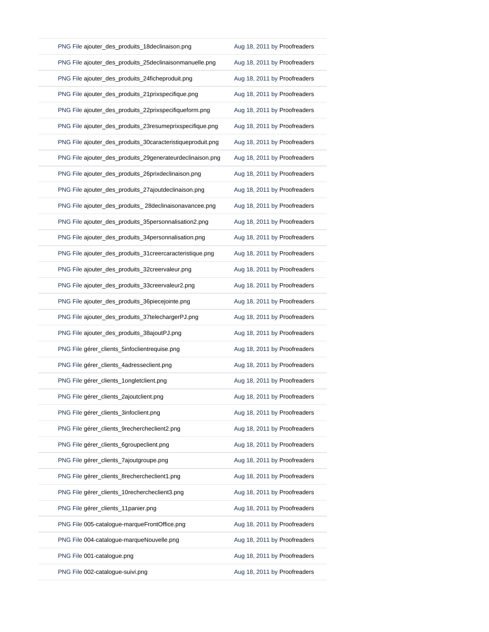| PNG File ajouter_des_produits_18declinaison.png            | Aug 18, 2011 by Proofreaders |
|------------------------------------------------------------|------------------------------|
| PNG File ajouter_des_produits_25declinaisonmanuelle.png    | Aug 18, 2011 by Proofreaders |
| PNG File ajouter_des_produits_24ficheproduit.png           | Aug 18, 2011 by Proofreaders |
| PNG File ajouter_des_produits_21prixspecifique.png         | Aug 18, 2011 by Proofreaders |
| PNG File ajouter_des_produits_22prixspecifiqueform.png     | Aug 18, 2011 by Proofreaders |
| PNG File ajouter_des_produits_23resumeprixspecifique.png   | Aug 18, 2011 by Proofreaders |
| PNG File ajouter_des_produits_30caracteristiqueproduit.png | Aug 18, 2011 by Proofreaders |
| PNG File ajouter_des_produits_29generateurdeclinaison.png  | Aug 18, 2011 by Proofreaders |
| PNG File ajouter_des_produits_26prixdeclinaison.png        | Aug 18, 2011 by Proofreaders |
| PNG File ajouter_des_produits_27ajoutdeclinaison.png       | Aug 18, 2011 by Proofreaders |
| PNG File ajouter_des_produits_28declinaisonavancee.png     | Aug 18, 2011 by Proofreaders |
| PNG File ajouter_des_produits_35personnalisation2.png      | Aug 18, 2011 by Proofreaders |
| PNG File ajouter_des_produits_34personnalisation.png       | Aug 18, 2011 by Proofreaders |
| PNG File ajouter_des_produits_31creercaracteristique.png   | Aug 18, 2011 by Proofreaders |
| PNG File ajouter_des_produits_32creervaleur.png            | Aug 18, 2011 by Proofreaders |
| PNG File ajouter_des_produits_33creervaleur2.png           | Aug 18, 2011 by Proofreaders |
| PNG File ajouter_des_produits_36piecejointe.png            | Aug 18, 2011 by Proofreaders |
| PNG File ajouter_des_produits_37telechargerPJ.png          | Aug 18, 2011 by Proofreaders |
| PNG File ajouter_des_produits_38ajoutPJ.png                | Aug 18, 2011 by Proofreaders |
| PNG File gérer_clients_5infoclientrequise.png              | Aug 18, 2011 by Proofreaders |
| PNG File gérer_clients_4adresseclient.png                  | Aug 18, 2011 by Proofreaders |
| PNG File gérer_clients_1ongletclient.png                   | Aug 18, 2011 by Proofreaders |
| PNG File gérer_clients_2ajoutclient.png                    | Aug 18, 2011 by Proofreaders |
| PNG File gérer_clients_3infoclient.png                     | Aug 18, 2011 by Proofreaders |
| PNG File gérer_clients_9rechercheclient2.png               | Aug 18, 2011 by Proofreaders |
| PNG File gérer_clients_6groupeclient.png                   | Aug 18, 2011 by Proofreaders |
| PNG File gérer_clients_7ajoutgroupe.png                    | Aug 18, 2011 by Proofreaders |
| PNG File gérer_clients_8rechercheclient1.png               | Aug 18, 2011 by Proofreaders |
| PNG File gérer_clients_10rechercheclient3.png              | Aug 18, 2011 by Proofreaders |
| PNG File gérer_clients_11panier.png                        | Aug 18, 2011 by Proofreaders |
| PNG File 005-catalogue-marqueFrontOffice.png               | Aug 18, 2011 by Proofreaders |
| PNG File 004-catalogue-marqueNouvelle.png                  | Aug 18, 2011 by Proofreaders |
| PNG File 001-catalogue.png                                 | Aug 18, 2011 by Proofreaders |
| PNG File 002-catalogue-suivi.png                           | Aug 18, 2011 by Proofreaders |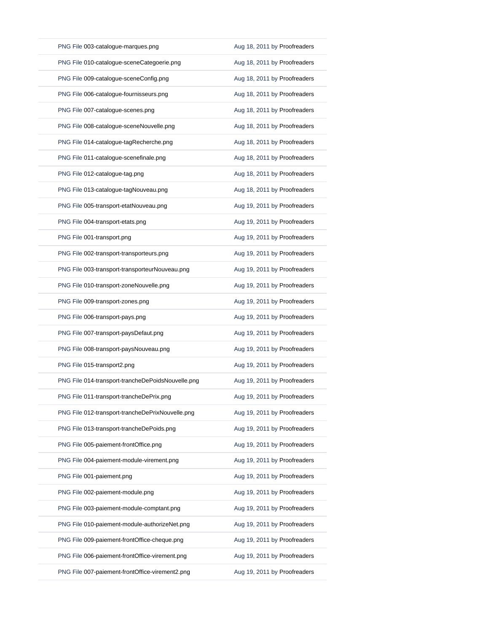| PNG File 003-catalogue-marques.png                | Aug 18, 2011 by Proofreaders |
|---------------------------------------------------|------------------------------|
| PNG File 010-catalogue-sceneCategoerie.png        | Aug 18, 2011 by Proofreaders |
| PNG File 009-catalogue-sceneConfig.png            | Aug 18, 2011 by Proofreaders |
| PNG File 006-catalogue-fournisseurs.png           | Aug 18, 2011 by Proofreaders |
| PNG File 007-catalogue-scenes.png                 | Aug 18, 2011 by Proofreaders |
| PNG File 008-catalogue-sceneNouvelle.png          | Aug 18, 2011 by Proofreaders |
| PNG File 014-catalogue-tagRecherche.png           | Aug 18, 2011 by Proofreaders |
| PNG File 011-catalogue-scenefinale.png            | Aug 18, 2011 by Proofreaders |
| PNG File 012-catalogue-tag.png                    | Aug 18, 2011 by Proofreaders |
| PNG File 013-catalogue-tagNouveau.png             | Aug 18, 2011 by Proofreaders |
| PNG File 005-transport-etatNouveau.png            | Aug 19, 2011 by Proofreaders |
| PNG File 004-transport-etats.png                  | Aug 19, 2011 by Proofreaders |
| PNG File 001-transport.png                        | Aug 19, 2011 by Proofreaders |
| PNG File 002-transport-transporteurs.png          | Aug 19, 2011 by Proofreaders |
| PNG File 003-transport-transporteurNouveau.png    | Aug 19, 2011 by Proofreaders |
| PNG File 010-transport-zoneNouvelle.png           | Aug 19, 2011 by Proofreaders |
| PNG File 009-transport-zones.png                  | Aug 19, 2011 by Proofreaders |
| PNG File 006-transport-pays.png                   | Aug 19, 2011 by Proofreaders |
| PNG File 007-transport-paysDefaut.png             | Aug 19, 2011 by Proofreaders |
| PNG File 008-transport-paysNouveau.png            | Aug 19, 2011 by Proofreaders |
| PNG File 015-transport2.png                       | Aug 19, 2011 by Proofreaders |
| PNG File 014-transport-trancheDePoidsNouvelle.png | Aug 19, 2011 by Proofreaders |
| PNG File 011-transport-trancheDePrix.png          | Aug 19, 2011 by Proofreaders |
| PNG File 012-transport-trancheDePrixNouvelle.png  | Aug 19, 2011 by Proofreaders |
| PNG File 013-transport-trancheDePoids.png         | Aug 19, 2011 by Proofreaders |
| PNG File 005-paiement-frontOffice.png             | Aug 19, 2011 by Proofreaders |
| PNG File 004-paiement-module-virement.png         | Aug 19, 2011 by Proofreaders |
| PNG File 001-paiement.png                         | Aug 19, 2011 by Proofreaders |
| PNG File 002-paiement-module.png                  | Aug 19, 2011 by Proofreaders |
| PNG File 003-paiement-module-comptant.png         | Aug 19, 2011 by Proofreaders |
| PNG File 010-paiement-module-authorizeNet.png     | Aug 19, 2011 by Proofreaders |
| PNG File 009-paiement-frontOffice-cheque.png      | Aug 19, 2011 by Proofreaders |
| PNG File 006-paiement-frontOffice-virement.png    | Aug 19, 2011 by Proofreaders |
| PNG File 007-paiement-frontOffice-virement2.png   | Aug 19, 2011 by Proofreaders |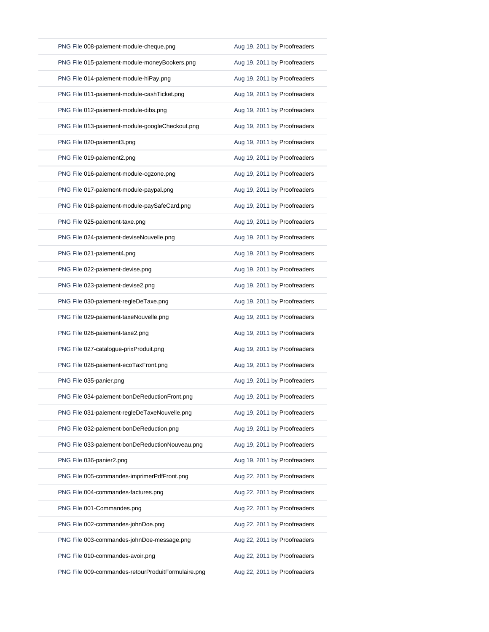| PNG File 008-paiement-module-cheque.png            | Aug 19, 2011 by Proofreaders |
|----------------------------------------------------|------------------------------|
| PNG File 015-paiement-module-moneyBookers.png      | Aug 19, 2011 by Proofreaders |
| PNG File 014-paiement-module-hiPay.png             | Aug 19, 2011 by Proofreaders |
| PNG File 011-paiement-module-cashTicket.png        | Aug 19, 2011 by Proofreaders |
| PNG File 012-paiement-module-dibs.png              | Aug 19, 2011 by Proofreaders |
| PNG File 013-paiement-module-googleCheckout.png    | Aug 19, 2011 by Proofreaders |
| PNG File 020-paiement3.png                         | Aug 19, 2011 by Proofreaders |
| PNG File 019-paiement2.png                         | Aug 19, 2011 by Proofreaders |
| PNG File 016-paiement-module-ogzone.png            | Aug 19, 2011 by Proofreaders |
| PNG File 017-paiement-module-paypal.png            | Aug 19, 2011 by Proofreaders |
| PNG File 018-paiement-module-paySafeCard.png       | Aug 19, 2011 by Proofreaders |
| PNG File 025-paiement-taxe.png                     | Aug 19, 2011 by Proofreaders |
| PNG File 024-paiement-deviseNouvelle.png           | Aug 19, 2011 by Proofreaders |
| PNG File 021-paiement4.png                         | Aug 19, 2011 by Proofreaders |
| PNG File 022-paiement-devise.png                   | Aug 19, 2011 by Proofreaders |
| PNG File 023-paiement-devise2.png                  | Aug 19, 2011 by Proofreaders |
| PNG File 030-paiement-regleDeTaxe.png              | Aug 19, 2011 by Proofreaders |
| PNG File 029-paiement-taxeNouvelle.png             | Aug 19, 2011 by Proofreaders |
| PNG File 026-paiement-taxe2.png                    | Aug 19, 2011 by Proofreaders |
| PNG File 027-catalogue-prixProduit.png             | Aug 19, 2011 by Proofreaders |
| PNG File 028-paiement-ecoTaxFront.png              | Aug 19, 2011 by Proofreaders |
| PNG File 035-panier.png                            | Aug 19, 2011 by Proofreaders |
| PNG File 034-paiement-bonDeReductionFront.png      | Aug 19, 2011 by Proofreaders |
| PNG File 031-paiement-regleDeTaxeNouvelle.png      | Aug 19, 2011 by Proofreaders |
| PNG File 032-paiement-bonDeReduction.png           | Aug 19, 2011 by Proofreaders |
| PNG File 033-paiement-bonDeReductionNouveau.png    | Aug 19, 2011 by Proofreaders |
| PNG File 036-panier2.png                           | Aug 19, 2011 by Proofreaders |
| PNG File 005-commandes-imprimerPdfFront.png        | Aug 22, 2011 by Proofreaders |
| PNG File 004-commandes-factures.png                | Aug 22, 2011 by Proofreaders |
| PNG File 001-Commandes.png                         | Aug 22, 2011 by Proofreaders |
| PNG File 002-commandes-johnDoe.png                 | Aug 22, 2011 by Proofreaders |
| PNG File 003-commandes-johnDoe-message.png         | Aug 22, 2011 by Proofreaders |
| PNG File 010-commandes-avoir.png                   | Aug 22, 2011 by Proofreaders |
| PNG File 009-commandes-retourProduitFormulaire.png | Aug 22, 2011 by Proofreaders |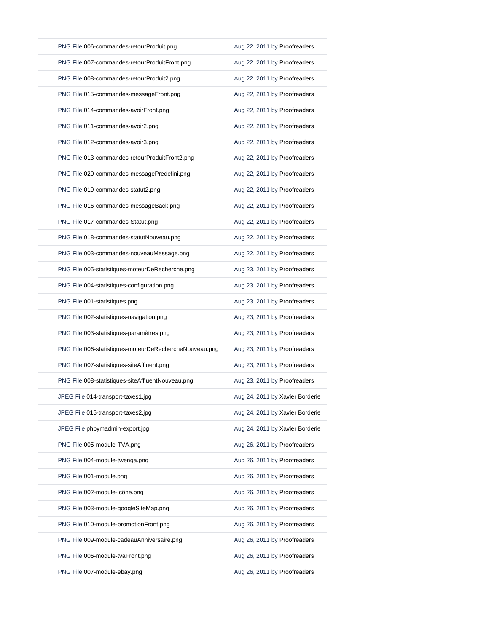| PNG File 006-commandes-retourProduit.png               | Aug 22, 2011 by Proofreaders    |
|--------------------------------------------------------|---------------------------------|
| PNG File 007-commandes-retourProduitFront.png          | Aug 22, 2011 by Proofreaders    |
| PNG File 008-commandes-retourProduit2.png              | Aug 22, 2011 by Proofreaders    |
| PNG File 015-commandes-messageFront.png                | Aug 22, 2011 by Proofreaders    |
| PNG File 014-commandes-avoirFront.png                  | Aug 22, 2011 by Proofreaders    |
| PNG File 011-commandes-avoir2.png                      | Aug 22, 2011 by Proofreaders    |
| PNG File 012-commandes-avoir3.png                      | Aug 22, 2011 by Proofreaders    |
| PNG File 013-commandes-retourProduitFront2.png         | Aug 22, 2011 by Proofreaders    |
| PNG File 020-commandes-messagePredefini.png            | Aug 22, 2011 by Proofreaders    |
| PNG File 019-commandes-statut2.png                     | Aug 22, 2011 by Proofreaders    |
| PNG File 016-commandes-messageBack.png                 | Aug 22, 2011 by Proofreaders    |
| PNG File 017-commandes-Statut.png                      | Aug 22, 2011 by Proofreaders    |
| PNG File 018-commandes-statutNouveau.png               | Aug 22, 2011 by Proofreaders    |
| PNG File 003-commandes-nouveauMessage.png              | Aug 22, 2011 by Proofreaders    |
| PNG File 005-statistiques-moteurDeRecherche.png        | Aug 23, 2011 by Proofreaders    |
| PNG File 004-statistiques-configuration.png            | Aug 23, 2011 by Proofreaders    |
| PNG File 001-statistiques.png                          | Aug 23, 2011 by Proofreaders    |
| PNG File 002-statistiques-navigation.png               | Aug 23, 2011 by Proofreaders    |
| PNG File 003-statistiques-paramètres.png               | Aug 23, 2011 by Proofreaders    |
| PNG File 006-statistiques-moteurDeRechercheNouveau.png | Aug 23, 2011 by Proofreaders    |
| PNG File 007-statistiques-siteAffluent.png             | Aug 23, 2011 by Proofreaders    |
| PNG File 008-statistiques-siteAffluentNouveau.png      | Aug 23, 2011 by Proofreaders    |
| JPEG File 014-transport-taxes1.jpg                     | Aug 24, 2011 by Xavier Borderie |
| JPEG File 015-transport-taxes2.jpg                     | Aug 24, 2011 by Xavier Borderie |
| JPEG File phpymadmin-export.jpg                        | Aug 24, 2011 by Xavier Borderie |
| PNG File 005-module-TVA.png                            | Aug 26, 2011 by Proofreaders    |
| PNG File 004-module-twenga.png                         | Aug 26, 2011 by Proofreaders    |
| PNG File 001-module.png                                | Aug 26, 2011 by Proofreaders    |
| PNG File 002-module-icône.png                          | Aug 26, 2011 by Proofreaders    |
| PNG File 003-module-googleSiteMap.png                  | Aug 26, 2011 by Proofreaders    |
| PNG File 010-module-promotionFront.png                 | Aug 26, 2011 by Proofreaders    |
| PNG File 009-module-cadeauAnniversaire.png             | Aug 26, 2011 by Proofreaders    |
| PNG File 006-module-tvaFront.png                       | Aug 26, 2011 by Proofreaders    |
| PNG File 007-module-ebay.png                           | Aug 26, 2011 by Proofreaders    |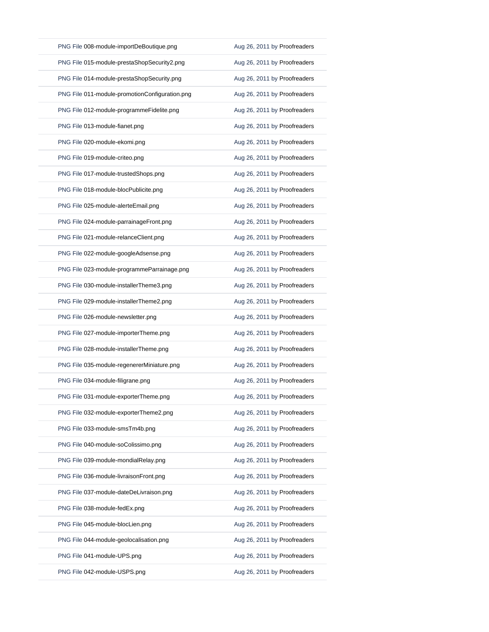| PNG File 008-module-importDeBoutique.png       | Aug 26, 2011 by Proofreaders |
|------------------------------------------------|------------------------------|
| PNG File 015-module-prestaShopSecurity2.png    | Aug 26, 2011 by Proofreaders |
| PNG File 014-module-prestaShopSecurity.png     | Aug 26, 2011 by Proofreaders |
| PNG File 011-module-promotionConfiguration.png | Aug 26, 2011 by Proofreaders |
| PNG File 012-module-programmeFidelite.png      | Aug 26, 2011 by Proofreaders |
| PNG File 013-module-fianet.png                 | Aug 26, 2011 by Proofreaders |
| PNG File 020-module-ekomi.png                  | Aug 26, 2011 by Proofreaders |
| PNG File 019-module-criteo.png                 | Aug 26, 2011 by Proofreaders |
| PNG File 017-module-trustedShops.png           | Aug 26, 2011 by Proofreaders |
| PNG File 018-module-blocPublicite.png          | Aug 26, 2011 by Proofreaders |
| PNG File 025-module-alerteEmail.png            | Aug 26, 2011 by Proofreaders |
| PNG File 024-module-parrainageFront.png        | Aug 26, 2011 by Proofreaders |
| PNG File 021-module-relanceClient.png          | Aug 26, 2011 by Proofreaders |
| PNG File 022-module-googleAdsense.png          | Aug 26, 2011 by Proofreaders |
| PNG File 023-module-programmeParrainage.png    | Aug 26, 2011 by Proofreaders |
| PNG File 030-module-installerTheme3.png        | Aug 26, 2011 by Proofreaders |
| PNG File 029-module-installerTheme2.png        | Aug 26, 2011 by Proofreaders |
| PNG File 026-module-newsletter.png             | Aug 26, 2011 by Proofreaders |
| PNG File 027-module-importerTheme.png          | Aug 26, 2011 by Proofreaders |
|                                                |                              |
| PNG File 028-module-installerTheme.png         | Aug 26, 2011 by Proofreaders |
| PNG File 035-module-regenererMiniature.png     | Aug 26, 2011 by Proofreaders |
| PNG File 034-module-filigrane.png              | Aug 26, 2011 by Proofreaders |
| PNG File 031-module-exporterTheme.png          | Aug 26, 2011 by Proofreaders |
| PNG File 032-module-exporterTheme2.png         | Aug 26, 2011 by Proofreaders |
| PNG File 033-module-smsTm4b.png                | Aug 26, 2011 by Proofreaders |
| PNG File 040-module-soColissimo.png            | Aug 26, 2011 by Proofreaders |
| PNG File 039-module-mondialRelay.png           | Aug 26, 2011 by Proofreaders |
| PNG File 036-module-livraisonFront.png         | Aug 26, 2011 by Proofreaders |
| PNG File 037-module-dateDeLivraison.png        | Aug 26, 2011 by Proofreaders |
| PNG File 038-module-fedEx.png                  | Aug 26, 2011 by Proofreaders |
| PNG File 045-module-blocLien.png               | Aug 26, 2011 by Proofreaders |
| PNG File 044-module-geolocalisation.png        | Aug 26, 2011 by Proofreaders |
| PNG File 041-module-UPS.png                    | Aug 26, 2011 by Proofreaders |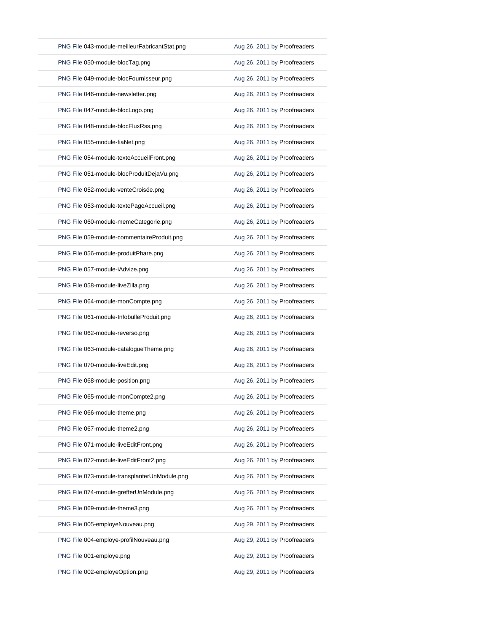| PNG File 043-module-meilleurFabricantStat.png | Aug 26, 2011 by Proofreaders |
|-----------------------------------------------|------------------------------|
| PNG File 050-module-blocTag.png               | Aug 26, 2011 by Proofreaders |
| PNG File 049-module-blocFournisseur.png       | Aug 26, 2011 by Proofreaders |
| PNG File 046-module-newsletter.png            | Aug 26, 2011 by Proofreaders |
| PNG File 047-module-blocLogo.png              | Aug 26, 2011 by Proofreaders |
| PNG File 048-module-blocFluxRss.png           | Aug 26, 2011 by Proofreaders |
| PNG File 055-module-fiaNet.png                | Aug 26, 2011 by Proofreaders |
| PNG File 054-module-texteAccueilFront.png     | Aug 26, 2011 by Proofreaders |
| PNG File 051-module-blocProduitDejaVu.png     | Aug 26, 2011 by Proofreaders |
| PNG File 052-module-venteCroisée.png          | Aug 26, 2011 by Proofreaders |
| PNG File 053-module-textePageAccueil.png      | Aug 26, 2011 by Proofreaders |
| PNG File 060-module-memeCategorie.png         | Aug 26, 2011 by Proofreaders |
| PNG File 059-module-commentaireProduit.png    | Aug 26, 2011 by Proofreaders |
| PNG File 056-module-produitPhare.png          | Aug 26, 2011 by Proofreaders |
| PNG File 057-module-iAdvize.png               | Aug 26, 2011 by Proofreaders |
| PNG File 058-module-liveZilla.png             | Aug 26, 2011 by Proofreaders |
| PNG File 064-module-monCompte.png             | Aug 26, 2011 by Proofreaders |
| PNG File 061-module-InfobulleProduit.png      | Aug 26, 2011 by Proofreaders |
| PNG File 062-module-reverso.png               | Aug 26, 2011 by Proofreaders |
| PNG File 063-module-catalogueTheme.png        | Aug 26, 2011 by Proofreaders |
| PNG File 070-module-liveEdit.png              | Aug 26, 2011 by Proofreaders |
| PNG File 068-module-position.png              | Aug 26, 2011 by Proofreaders |
| PNG File 065-module-monCompte2.png            | Aug 26, 2011 by Proofreaders |
| PNG File 066-module-theme.png                 | Aug 26, 2011 by Proofreaders |
| PNG File 067-module-theme2.png                | Aug 26, 2011 by Proofreaders |
| PNG File 071-module-liveEditFront.png         | Aug 26, 2011 by Proofreaders |
| PNG File 072-module-liveEditFront2.png        | Aug 26, 2011 by Proofreaders |
| PNG File 073-module-transplanterUnModule.png  | Aug 26, 2011 by Proofreaders |
| PNG File 074-module-grefferUnModule.png       | Aug 26, 2011 by Proofreaders |
| PNG File 069-module-theme3.png                | Aug 26, 2011 by Proofreaders |
| PNG File 005-employeNouveau.png               | Aug 29, 2011 by Proofreaders |
| PNG File 004-employe-profilNouveau.png        | Aug 29, 2011 by Proofreaders |
| PNG File 001-employe.png                      | Aug 29, 2011 by Proofreaders |
| PNG File 002-employeOption.png                | Aug 29, 2011 by Proofreaders |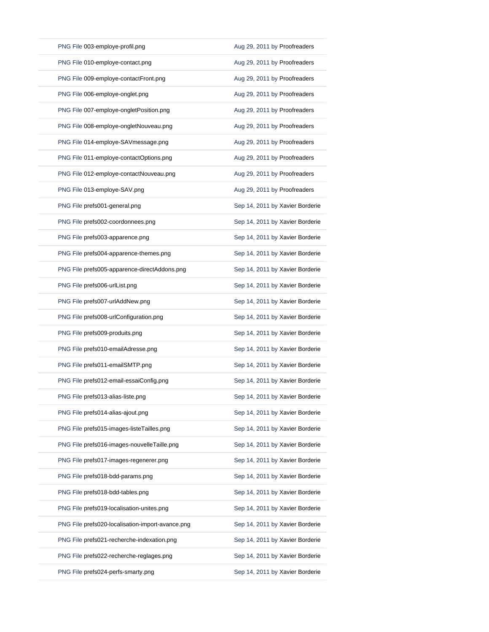| PNG File 003-employe-profil.png                  | Aug 29, 2011 by Proofreaders    |
|--------------------------------------------------|---------------------------------|
| PNG File 010-employe-contact.png                 | Aug 29, 2011 by Proofreaders    |
| PNG File 009-employe-contactFront.png            | Aug 29, 2011 by Proofreaders    |
| PNG File 006-employe-onglet.png                  | Aug 29, 2011 by Proofreaders    |
| PNG File 007-employe-ongletPosition.png          | Aug 29, 2011 by Proofreaders    |
| PNG File 008-employe-ongletNouveau.png           | Aug 29, 2011 by Proofreaders    |
| PNG File 014-employe-SAVmessage.png              | Aug 29, 2011 by Proofreaders    |
| PNG File 011-employe-contactOptions.png          | Aug 29, 2011 by Proofreaders    |
| PNG File 012-employe-contactNouveau.png          | Aug 29, 2011 by Proofreaders    |
| PNG File 013-employe-SAV.png                     | Aug 29, 2011 by Proofreaders    |
| PNG File prefs001-general.png                    | Sep 14, 2011 by Xavier Borderie |
| PNG File prefs002-coordonnees.png                | Sep 14, 2011 by Xavier Borderie |
| PNG File prefs003-apparence.png                  | Sep 14, 2011 by Xavier Borderie |
| PNG File prefs004-apparence-themes.png           | Sep 14, 2011 by Xavier Borderie |
| PNG File prefs005-apparence-directAddons.png     | Sep 14, 2011 by Xavier Borderie |
| PNG File prefs006-urlList.png                    | Sep 14, 2011 by Xavier Borderie |
| PNG File prefs007-urlAddNew.png                  | Sep 14, 2011 by Xavier Borderie |
| PNG File prefs008-urlConfiguration.png           | Sep 14, 2011 by Xavier Borderie |
| PNG File prefs009-produits.png                   | Sep 14, 2011 by Xavier Borderie |
| PNG File prefs010-emailAdresse.png               | Sep 14, 2011 by Xavier Borderie |
| PNG File prefs011-emailSMTP.png                  | Sep 14, 2011 by Xavier Borderie |
| PNG File prefs012-email-essaiConfig.png          | Sep 14, 2011 by Xavier Borderie |
| PNG File prefs013-alias-liste.png                | Sep 14, 2011 by Xavier Borderie |
| PNG File prefs014-alias-ajout.png                | Sep 14, 2011 by Xavier Borderie |
| PNG File prefs015-images-listeTailles.png        | Sep 14, 2011 by Xavier Borderie |
| PNG File prefs016-images-nouvelleTaille.png      | Sep 14, 2011 by Xavier Borderie |
| PNG File prefs017-images-regenerer.png           | Sep 14, 2011 by Xavier Borderie |
| PNG File prefs018-bdd-params.png                 | Sep 14, 2011 by Xavier Borderie |
| PNG File prefs018-bdd-tables.png                 | Sep 14, 2011 by Xavier Borderie |
| PNG File prefs019-localisation-unites.png        | Sep 14, 2011 by Xavier Borderie |
| PNG File prefs020-localisation-import-avance.png | Sep 14, 2011 by Xavier Borderie |
| PNG File prefs021-recherche-indexation.png       | Sep 14, 2011 by Xavier Borderie |
|                                                  |                                 |
| PNG File prefs022-recherche-reglages.png         | Sep 14, 2011 by Xavier Borderie |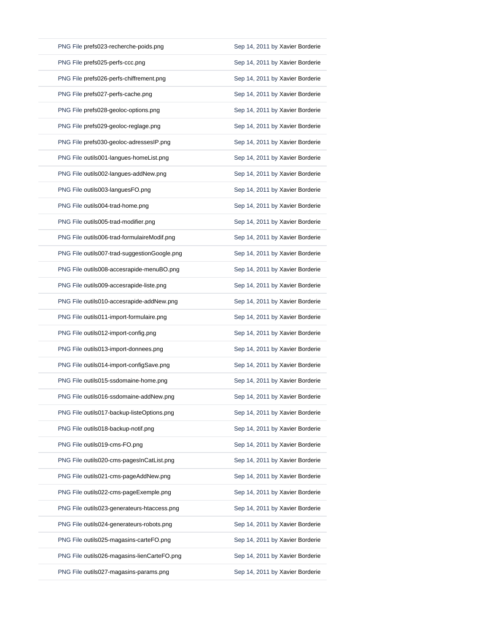| PNG File prefs023-recherche-poids.png        | Sep 14, 2011 by Xavier Borderie |
|----------------------------------------------|---------------------------------|
| PNG File prefs025-perfs-ccc.png              | Sep 14, 2011 by Xavier Borderie |
| PNG File prefs026-perfs-chiffrement.png      | Sep 14, 2011 by Xavier Borderie |
| PNG File prefs027-perfs-cache.png            | Sep 14, 2011 by Xavier Borderie |
| PNG File prefs028-geoloc-options.png         | Sep 14, 2011 by Xavier Borderie |
| PNG File prefs029-geoloc-reglage.png         | Sep 14, 2011 by Xavier Borderie |
| PNG File prefs030-geoloc-adressesIP.png      | Sep 14, 2011 by Xavier Borderie |
| PNG File outils001-langues-homeList.png      | Sep 14, 2011 by Xavier Borderie |
| PNG File outils002-langues-addNew.png        | Sep 14, 2011 by Xavier Borderie |
| PNG File outils003-languesFO.png             | Sep 14, 2011 by Xavier Borderie |
| PNG File outils004-trad-home.png             | Sep 14, 2011 by Xavier Borderie |
| PNG File outils005-trad-modifier.png         | Sep 14, 2011 by Xavier Borderie |
| PNG File outils006-trad-formulaireModif.png  | Sep 14, 2011 by Xavier Borderie |
| PNG File outils007-trad-suggestionGoogle.png | Sep 14, 2011 by Xavier Borderie |
| PNG File outils008-accesrapide-menuBO.png    | Sep 14, 2011 by Xavier Borderie |
| PNG File outils009-accesrapide-liste.png     | Sep 14, 2011 by Xavier Borderie |
| PNG File outils010-accesrapide-addNew.png    | Sep 14, 2011 by Xavier Borderie |
| PNG File outils011-import-formulaire.png     | Sep 14, 2011 by Xavier Borderie |
| PNG File outils012-import-config.png         | Sep 14, 2011 by Xavier Borderie |
| PNG File outils013-import-donnees.png        | Sep 14, 2011 by Xavier Borderie |
| PNG File outils014-import-configSave.png     | Sep 14, 2011 by Xavier Borderie |
| PNG File outils015-ssdomaine-home.png        | Sep 14, 2011 by Xavier Borderie |
| PNG File outils016-ssdomaine-addNew.png      | Sep 14, 2011 by Xavier Borderie |
| PNG File outils017-backup-listeOptions.png   | Sep 14, 2011 by Xavier Borderie |
| PNG File outils018-backup-notif.png          | Sep 14, 2011 by Xavier Borderie |
| PNG File outils019-cms-FO.png                | Sep 14, 2011 by Xavier Borderie |
| PNG File outils020-cms-pagesInCatList.png    | Sep 14, 2011 by Xavier Borderie |
| PNG File outils021-cms-pageAddNew.png        | Sep 14, 2011 by Xavier Borderie |
| PNG File outils022-cms-pageExemple.png       | Sep 14, 2011 by Xavier Borderie |
| PNG File outils023-generateurs-htaccess.png  | Sep 14, 2011 by Xavier Borderie |
| PNG File outils024-generateurs-robots.png    | Sep 14, 2011 by Xavier Borderie |
| PNG File outils025-magasins-carteFO.png      | Sep 14, 2011 by Xavier Borderie |
| PNG File outils026-magasins-lienCarteFO.png  | Sep 14, 2011 by Xavier Borderie |
| PNG File outils027-magasins-params.png       | Sep 14, 2011 by Xavier Borderie |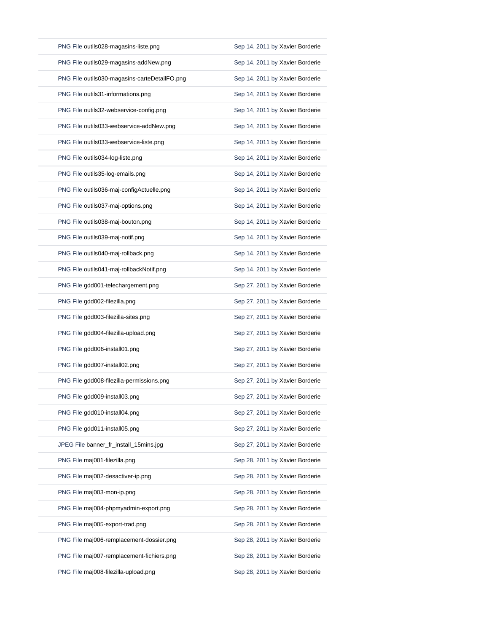| PNG File outils028-magasins-liste.png         | Sep 14, 2011 by Xavier Borderie |
|-----------------------------------------------|---------------------------------|
| PNG File outils029-magasins-addNew.png        | Sep 14, 2011 by Xavier Borderie |
| PNG File outils030-magasins-carteDetailFO.png | Sep 14, 2011 by Xavier Borderie |
| PNG File outils31-informations.png            | Sep 14, 2011 by Xavier Borderie |
| PNG File outils32-webservice-config.png       | Sep 14, 2011 by Xavier Borderie |
| PNG File outils033-webservice-addNew.png      | Sep 14, 2011 by Xavier Borderie |
| PNG File outils033-webservice-liste.png       | Sep 14, 2011 by Xavier Borderie |
| PNG File outils034-log-liste.png              | Sep 14, 2011 by Xavier Borderie |
| PNG File outils35-log-emails.png              | Sep 14, 2011 by Xavier Borderie |
| PNG File outils036-maj-configActuelle.png     | Sep 14, 2011 by Xavier Borderie |
| PNG File outils037-maj-options.png            | Sep 14, 2011 by Xavier Borderie |
| PNG File outils038-maj-bouton.png             | Sep 14, 2011 by Xavier Borderie |
| PNG File outils039-maj-notif.png              | Sep 14, 2011 by Xavier Borderie |
| PNG File outils040-maj-rollback.png           | Sep 14, 2011 by Xavier Borderie |
| PNG File outils041-maj-rollbackNotif.png      | Sep 14, 2011 by Xavier Borderie |
| PNG File gdd001-telechargement.png            | Sep 27, 2011 by Xavier Borderie |
| PNG File gdd002-filezilla.png                 | Sep 27, 2011 by Xavier Borderie |
| PNG File gdd003-filezilla-sites.png           | Sep 27, 2011 by Xavier Borderie |
| PNG File gdd004-filezilla-upload.png          | Sep 27, 2011 by Xavier Borderie |
| PNG File gdd006-install01.png                 | Sep 27, 2011 by Xavier Borderie |
| PNG File gdd007-install02.png                 | Sep 27, 2011 by Xavier Borderie |
| PNG File gdd008-filezilla-permissions.png     | Sep 27, 2011 by Xavier Borderie |
| PNG File gdd009-install03.png                 | Sep 27, 2011 by Xavier Borderie |
| PNG File gdd010-install04.png                 | Sep 27, 2011 by Xavier Borderie |
| PNG File gdd011-install05.png                 | Sep 27, 2011 by Xavier Borderie |
| JPEG File banner_fr_install_15mins.jpg        | Sep 27, 2011 by Xavier Borderie |
| PNG File maj001-filezilla.png                 | Sep 28, 2011 by Xavier Borderie |
| PNG File maj002-desactiver-ip.png             | Sep 28, 2011 by Xavier Borderie |
| PNG File maj003-mon-ip.png                    | Sep 28, 2011 by Xavier Borderie |
| PNG File maj004-phpmyadmin-export.png         | Sep 28, 2011 by Xavier Borderie |
| PNG File maj005-export-trad.png               | Sep 28, 2011 by Xavier Borderie |
| PNG File maj006-remplacement-dossier.png      | Sep 28, 2011 by Xavier Borderie |
| PNG File maj007-remplacement-fichiers.png     | Sep 28, 2011 by Xavier Borderie |
| PNG File maj008-filezilla-upload.png          | Sep 28, 2011 by Xavier Borderie |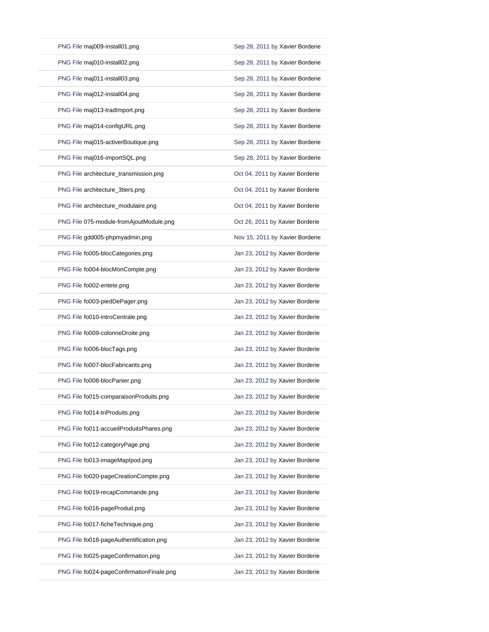| PNG File maj009-install01.png             | Sep 28, 2011 by Xavier Borderie |
|-------------------------------------------|---------------------------------|
| PNG File maj010-install02.png             | Sep 28, 2011 by Xavier Borderie |
| PNG File maj011-install03.png             | Sep 28, 2011 by Xavier Borderie |
| PNG File maj012-install04.png             | Sep 28, 2011 by Xavier Borderie |
| PNG File maj013-tradImport.png            | Sep 28, 2011 by Xavier Borderie |
| PNG File maj014-configURL.png             | Sep 28, 2011 by Xavier Borderie |
| PNG File maj015-activerBoutique.png       | Sep 28, 2011 by Xavier Borderie |
| PNG File maj016-importSQL.png             | Sep 28, 2011 by Xavier Borderie |
| PNG File architecture_transmission.png    | Oct 04, 2011 by Xavier Borderie |
| PNG File architecture_3tiers.png          | Oct 04, 2011 by Xavier Borderie |
| PNG File architecture_modulaire.png       | Oct 04, 2011 by Xavier Borderie |
| PNG File 075-module-fromAjoutModule.png   | Oct 26, 2011 by Xavier Borderie |
| PNG File gdd005-phpmyadmin.png            | Nov 15, 2011 by Xavier Borderie |
| PNG File fo005-blocCategories.png         | Jan 23, 2012 by Xavier Borderie |
| PNG File fo004-blocMonCompte.png          | Jan 23, 2012 by Xavier Borderie |
| PNG File fo002-entete.png                 | Jan 23, 2012 by Xavier Borderie |
| PNG File fo003-piedDePager.png            | Jan 23, 2012 by Xavier Borderie |
| PNG File fo010-introCentrale.png          | Jan 23, 2012 by Xavier Borderie |
| PNG File fo009-colonneDroite.png          | Jan 23, 2012 by Xavier Borderie |
| PNG File fo006-blocTags.png               | Jan 23, 2012 by Xavier Borderie |
| PNG File fo007-blocFabricants.png         | Jan 23, 2012 by Xavier Borderie |
| PNG File fo008-blocPanier.png             | Jan 23, 2012 by Xavier Borderie |
| PNG File fo015-comparaisonProduits.png    | Jan 23, 2012 by Xavier Borderie |
| PNG File fo014-triProduits.png            | Jan 23, 2012 by Xavier Borderie |
| PNG File fo011-accueilProduitsPhares.png  | Jan 23, 2012 by Xavier Borderie |
| PNG File fo012-categoryPage.png           | Jan 23, 2012 by Xavier Borderie |
| PNG File fo013-imageMapIpod.png           | Jan 23, 2012 by Xavier Borderie |
| PNG File fo020-pageCreationCompte.png     | Jan 23, 2012 by Xavier Borderie |
| PNG File fo019-recapCommande.png          | Jan 23, 2012 by Xavier Borderie |
| PNG File fo016-pageProduit.png            | Jan 23, 2012 by Xavier Borderie |
| PNG File fo017-ficheTechnique.png         | Jan 23, 2012 by Xavier Borderie |
| PNG File fo018-pageAuthentification.png   | Jan 23, 2012 by Xavier Borderie |
| PNG File fo025-pageConfirmation.png       | Jan 23, 2012 by Xavier Borderie |
| PNG File fo024-pageConfirmationFinale.png | Jan 23, 2012 by Xavier Borderie |